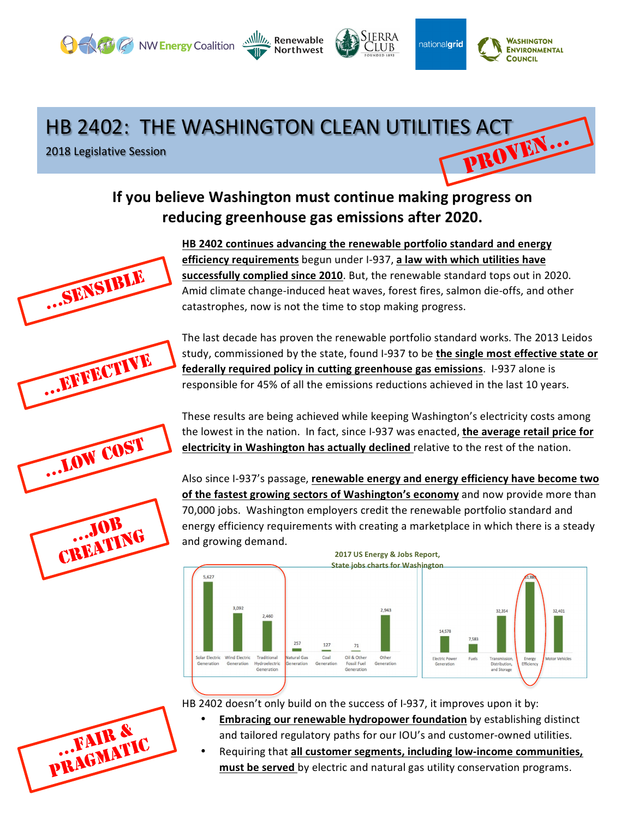## HB 2402: THE WASHINGTON CLEAN UTILITIES ACT PROVEN…

Northwest

**O Aft C** NW Energy Coalition **Will** Renewable

2018 Legislative Session







…LOW COST

…JOB CREATING HB 2402 continues advancing the renewable portfolio standard and energy **efficiency requirements** begun under I-937, a law with which utilities have **successfully complied since 2010**. But, the renewable standard tops out in 2020. Amid climate change-induced heat waves, forest fires, salmon die-offs, and other catastrophes, now is not the time to stop making progress.

Sierra

CLUB

nationalgrid

**WASHINGTON** 

**ENVIRONMENTAL COUNCIL** 

The last decade has proven the renewable portfolio standard works. The 2013 Leidos study, commissioned by the state, found I-937 to be the single most effective state or **federally required policy in cutting greenhouse gas emissions**. I-937 alone is responsible for 45% of all the emissions reductions achieved in the last 10 years.

These results are being achieved while keeping Washington's electricity costs among the lowest in the nation. In fact, since I-937 was enacted, the average retail price for **electricity in Washington has actually declined** relative to the rest of the nation.

Also since I-937's passage, renewable energy and energy efficiency have become two of the fastest growing sectors of Washington's economy and now provide more than 70,000 jobs. Washington employers credit the renewable portfolio standard and energy efficiency requirements with creating a marketplace in which there is a steady and growing demand.



HB 2402 doesn't only build on the success of I-937, it improves upon it by:

- **Embracing our renewable hydropower foundation** by establishing distinct and tailored regulatory paths for our IOU's and customer-owned utilities.
- Requiring that **all customer segments, including low-income communities,** must be served by electric and natural gas utility conservation programs.